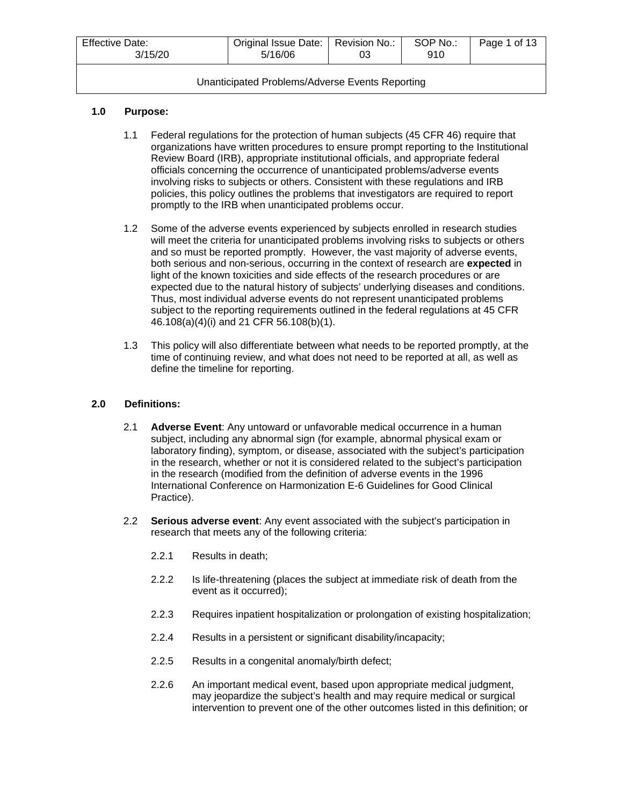| <b>Effective Date:</b><br>3/15/20 | Original Issue Date:   Revision No.:<br>5/16/06 | 03 | SOP No.:<br>910 | Page 1 of 13 |
|-----------------------------------|-------------------------------------------------|----|-----------------|--------------|
|                                   |                                                 |    |                 |              |

# **1.0 Purpose:**

- 1.1 Federal regulations for the protection of human subjects (45 CFR 46) require that organizations have written procedures to ensure prompt reporting to the Institutional Review Board (IRB), appropriate institutional officials, and appropriate federal officials concerning the occurrence of unanticipated problems/adverse events involving risks to subjects or others. Consistent with these regulations and IRB policies, this policy outlines the problems that investigators are required to report promptly to the IRB when unanticipated problems occur.
- 1.2 Some of the adverse events experienced by subjects enrolled in research studies will meet the criteria for unanticipated problems involving risks to subjects or others and so must be reported promptly. However, the vast majority of adverse events, both serious and non-serious, occurring in the context of research are **expected** in light of the known toxicities and side effects of the research procedures or are expected due to the natural history of subjects' underlying diseases and conditions. Thus, most individual adverse events do not represent unanticipated problems subject to the reporting requirements outlined in the federal regulations at 45 CFR 46.108(a)(4)(i) and 21 CFR 56.108(b)(1).
- 1.3 This policy will also differentiate between what needs to be reported promptly, at the time of continuing review, and what does not need to be reported at all, as well as define the timeline for reporting.

# **2.0 Definitions:**

- 2.1 **Adverse Event**: Any untoward or unfavorable medical occurrence in a human subject, including any abnormal sign (for example, abnormal physical exam or laboratory finding), symptom, or disease, associated with the subject's participation in the research, whether or not it is considered related to the subject's participation in the research (modified from the definition of adverse events in the 1996 International Conference on Harmonization E-6 Guidelines for Good Clinical Practice).
- 2.2 **Serious adverse event**: Any event associated with the subject's participation in research that meets any of the following criteria:
	- 2.2.1 Results in death;
	- 2.2.2 Is life-threatening (places the subject at immediate risk of death from the event as it occurred);
	- 2.2.3 Requires inpatient hospitalization or prolongation of existing hospitalization;
	- 2.2.4 Results in a persistent or significant disability/incapacity;
	- 2.2.5 Results in a congenital anomaly/birth defect;
	- 2.2.6 An important medical event, based upon appropriate medical judgment, may jeopardize the subject's health and may require medical or surgical intervention to prevent one of the other outcomes listed in this definition; or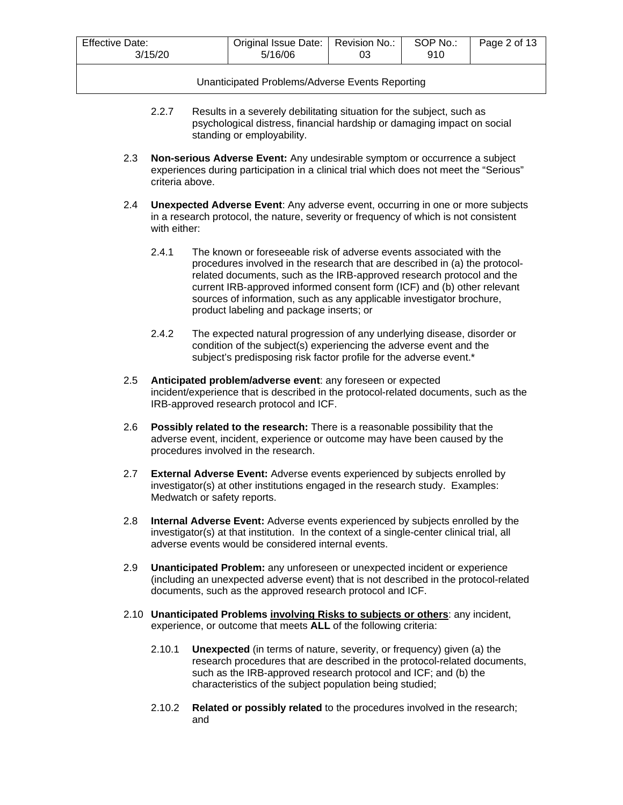| <b>Effective Date:</b><br>3/15/20 | Original Issue Date:<br>5/16/06 | SOP No.:<br>Revision No.:<br>03<br>910 | Page 2 of 13 |
|-----------------------------------|---------------------------------|----------------------------------------|--------------|
|-----------------------------------|---------------------------------|----------------------------------------|--------------|

- 2.2.7 Results in a severely debilitating situation for the subject, such as psychological distress, financial hardship or damaging impact on social standing or employability.
- 2.3 **Non-serious Adverse Event:** Any undesirable symptom or occurrence a subject experiences during participation in a clinical trial which does not meet the "Serious" criteria above.
- 2.4 **Unexpected Adverse Event**: Any adverse event, occurring in one or more subjects in a research protocol, the nature, severity or frequency of which is not consistent with either:
	- 2.4.1 The known or foreseeable risk of adverse events associated with the procedures involved in the research that are described in (a) the protocolrelated documents, such as the IRB-approved research protocol and the current IRB-approved informed consent form (ICF) and (b) other relevant sources of information, such as any applicable investigator brochure, product labeling and package inserts; or
	- 2.4.2 The expected natural progression of any underlying disease, disorder or condition of the subject(s) experiencing the adverse event and the subject's predisposing risk factor profile for the adverse event.\*
- 2.5 **Anticipated problem/adverse event**: any foreseen or expected incident/experience that is described in the protocol-related documents, such as the IRB-approved research protocol and ICF.
- 2.6 **Possibly related to the research:** There is a reasonable possibility that the adverse event, incident, experience or outcome may have been caused by the procedures involved in the research.
- 2.7 **External Adverse Event:** Adverse events experienced by subjects enrolled by investigator(s) at other institutions engaged in the research study. Examples: Medwatch or safety reports.
- 2.8 **Internal Adverse Event:** Adverse events experienced by subjects enrolled by the investigator(s) at that institution. In the context of a single-center clinical trial, all adverse events would be considered internal events.
- 2.9 **Unanticipated Problem:** any unforeseen or unexpected incident or experience (including an unexpected adverse event) that is not described in the protocol-related documents, such as the approved research protocol and ICF.
- 2.10 **Unanticipated Problems involving Risks to subjects or others**: any incident, experience, or outcome that meets **ALL** of the following criteria:
	- 2.10.1 **Unexpected** (in terms of nature, severity, or frequency) given (a) the research procedures that are described in the protocol-related documents, such as the IRB-approved research protocol and ICF; and (b) the characteristics of the subject population being studied;
	- 2.10.2 **Related or possibly related** to the procedures involved in the research; and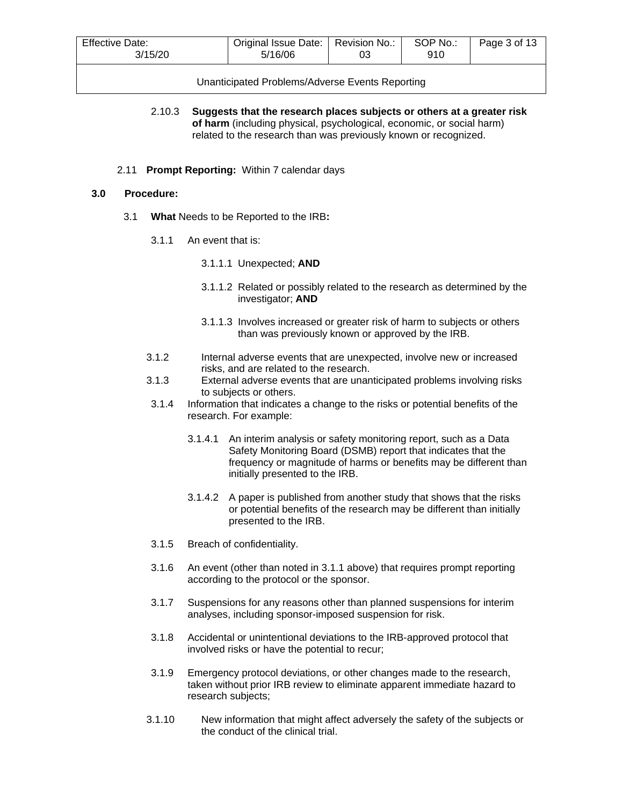| <b>Effective Date:</b> | Original Issue Date: | Revision No.: | SOP No.: | Page 3 of 13 |
|------------------------|----------------------|---------------|----------|--------------|
| 3/15/20                | 5/16/06              | О3            | 910      |              |

2.10.3 **Suggests that the research places subjects or others at a greater risk of harm** (including physical, psychological, economic, or social harm) related to the research than was previously known or recognized.

### 2.11 **Prompt Reporting:** Within 7 calendar days

### **3.0 Procedure:**

- 3.1 **What** Needs to be Reported to the IRB**:**
	- 3.1.1 An event that is:
		- 3.1.1.1 Unexpected; **AND**
		- 3.1.1.2 Related or possibly related to the research as determined by the investigator; **AND**
		- 3.1.1.3 Involves increased or greater risk of harm to subjects or others than was previously known or approved by the IRB.
	- 3.1.2 Internal adverse events that are unexpected, involve new or increased risks, and are related to the research.
	- 3.1.3 External adverse events that are unanticipated problems involving risks to subjects or others.
	- 3.1.4 Information that indicates a change to the risks or potential benefits of the research. For example:
		- 3.1.4.1 An interim analysis or safety monitoring report, such as a Data Safety Monitoring Board (DSMB) report that indicates that the frequency or magnitude of harms or benefits may be different than initially presented to the IRB.
		- 3.1.4.2 A paper is published from another study that shows that the risks or potential benefits of the research may be different than initially presented to the IRB.
	- 3.1.5 Breach of confidentiality.
	- 3.1.6 An event (other than noted in 3.1.1 above) that requires prompt reporting according to the protocol or the sponsor.
	- 3.1.7 Suspensions for any reasons other than planned suspensions for interim analyses, including sponsor-imposed suspension for risk.
	- 3.1.8 Accidental or unintentional deviations to the IRB-approved protocol that involved risks or have the potential to recur;
	- 3.1.9 Emergency protocol deviations, or other changes made to the research, taken without prior IRB review to eliminate apparent immediate hazard to research subjects;
	- 3.1.10 New information that might affect adversely the safety of the subjects or the conduct of the clinical trial.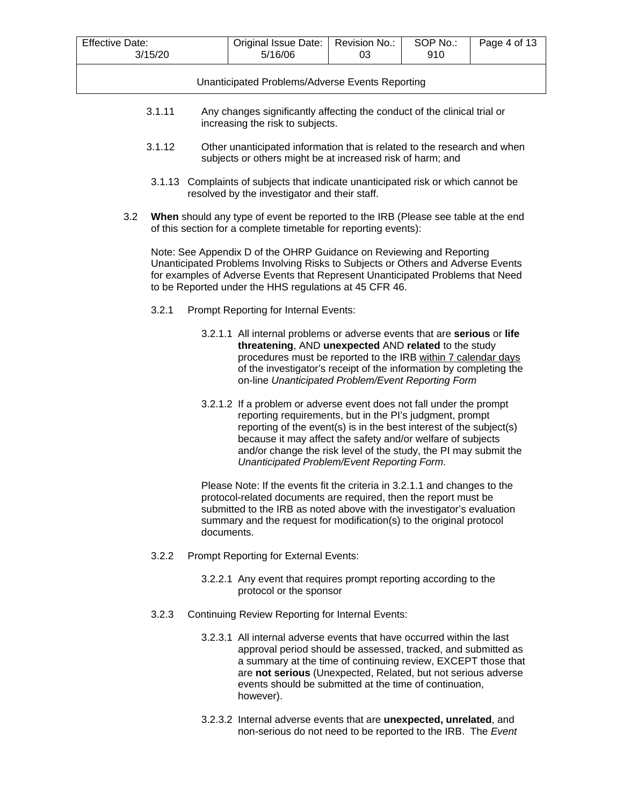| Effective Date:<br>3/15/20 | Original Issue Date:   Revision No.:<br>5/16/06 | 03 | SOP No.:<br>910 | Page 4 of 13 |
|----------------------------|-------------------------------------------------|----|-----------------|--------------|
|                            | Unanticipated Problems/Adverse Events Reporting |    |                 |              |
|                            |                                                 |    |                 |              |

- 3.1.11 Any changes significantly affecting the conduct of the clinical trial or increasing the risk to subjects.
- 3.1.12 Other unanticipated information that is related to the research and when subjects or others might be at increased risk of harm; and
- 3.1.13 Complaints of subjects that indicate unanticipated risk or which cannot be resolved by the investigator and their staff.
- 3.2 **When** should any type of event be reported to the IRB (Please see table at the end of this section for a complete timetable for reporting events):

Note: See Appendix D of the OHRP Guidance on Reviewing and Reporting Unanticipated Problems Involving Risks to Subjects or Others and Adverse Events for examples of Adverse Events that Represent Unanticipated Problems that Need to be Reported under the HHS regulations at 45 CFR 46.

- 3.2.1 Prompt Reporting for Internal Events:
	- 3.2.1.1 All internal problems or adverse events that are **serious** or **life threatening**, AND **unexpected** AND **related** to the study procedures must be reported to the IRB within 7 calendar days of the investigator's receipt of the information by completing the on-line *Unanticipated Problem/Event Reporting Form*
	- 3.2.1.2 If a problem or adverse event does not fall under the prompt reporting requirements, but in the PI's judgment, prompt reporting of the event(s) is in the best interest of the subject(s) because it may affect the safety and/or welfare of subjects and/or change the risk level of the study, the PI may submit the *Unanticipated Problem/Event Reporting Form*.

Please Note: If the events fit the criteria in 3.2.1.1 and changes to the protocol-related documents are required, then the report must be submitted to the IRB as noted above with the investigator's evaluation summary and the request for modification(s) to the original protocol documents.

- 3.2.2 Prompt Reporting for External Events:
	- 3.2.2.1 Any event that requires prompt reporting according to the protocol or the sponsor
- 3.2.3 Continuing Review Reporting for Internal Events:
	- 3.2.3.1 All internal adverse events that have occurred within the last approval period should be assessed, tracked, and submitted as a summary at the time of continuing review, EXCEPT those that are **not serious** (Unexpected, Related, but not serious adverse events should be submitted at the time of continuation, however).
	- 3.2.3.2 Internal adverse events that are **unexpected, unrelated**, and non-serious do not need to be reported to the IRB. The *Event*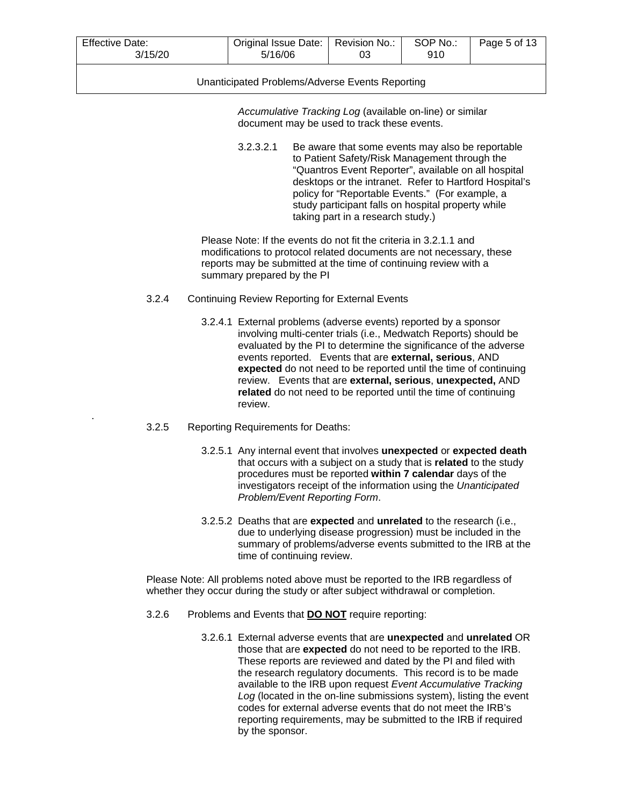| <b>Effective Date:</b> | Original Issue Date: | Revision No.: | SOP No.:     | Page 5 of 13 |
|------------------------|----------------------|---------------|--------------|--------------|
| 3/15/20                | 5/16/06              | 03            | 91 N<br>ອ ເບ |              |

*Accumulative Tracking Log* (available on-line) or similar document may be used to track these events.

3.2.3.2.1 Be aware that some events may also be reportable to Patient Safety/Risk Management through the "Quantros Event Reporter", available on all hospital desktops or the intranet. Refer to Hartford Hospital's policy for "Reportable Events." (For example, a study participant falls on hospital property while taking part in a research study.)

Please Note: If the events do not fit the criteria in 3.2.1.1 and modifications to protocol related documents are not necessary, these reports may be submitted at the time of continuing review with a summary prepared by the PI

- 3.2.4 Continuing Review Reporting for External Events
	- 3.2.4.1 External problems (adverse events) reported by a sponsor involving multi-center trials (i.e., Medwatch Reports) should be evaluated by the PI to determine the significance of the adverse events reported. Events that are **external, serious**, AND **expected** do not need to be reported until the time of continuing review. Events that are **external, serious**, **unexpected,** AND **related** do not need to be reported until the time of continuing review.
- 3.2.5 Reporting Requirements for Deaths:

.

- 3.2.5.1 Any internal event that involves **unexpected** or **expected death** that occurs with a subject on a study that is **related** to the study procedures must be reported **within 7 calendar** days of the investigators receipt of the information using the *Unanticipated Problem/Event Reporting Form*.
- 3.2.5.2 Deaths that are **expected** and **unrelated** to the research (i.e., due to underlying disease progression) must be included in the summary of problems/adverse events submitted to the IRB at the time of continuing review.

Please Note: All problems noted above must be reported to the IRB regardless of whether they occur during the study or after subject withdrawal or completion.

- 3.2.6 Problems and Events that **DO NOT** require reporting:
	- 3.2.6.1 External adverse events that are **unexpected** and **unrelated** OR those that are **expected** do not need to be reported to the IRB. These reports are reviewed and dated by the PI and filed with the research regulatory documents. This record is to be made available to the IRB upon request *Event Accumulative Tracking Log* (located in the on-line submissions system), listing the event codes for external adverse events that do not meet the IRB's reporting requirements, may be submitted to the IRB if required by the sponsor.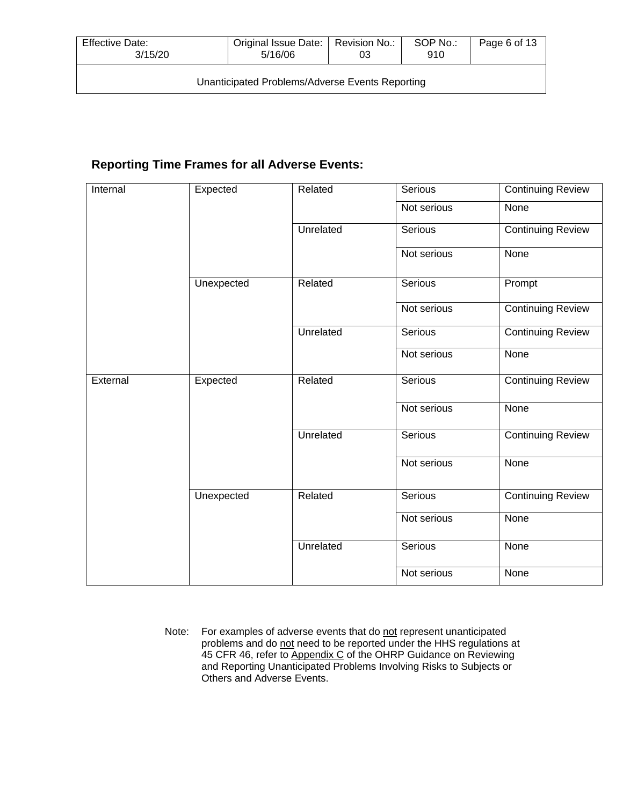| Effective Date:<br>3/15/20                      | Original Issue Date:   Revision No.:<br>5/16/06 | 03 | SOP No.:<br>910 | Page 6 of 13 |
|-------------------------------------------------|-------------------------------------------------|----|-----------------|--------------|
| Unanticipated Problems/Adverse Events Reporting |                                                 |    |                 |              |

# **Reporting Time Frames for all Adverse Events:**

| Internal | Expected   | Related   | Serious     | <b>Continuing Review</b> |
|----------|------------|-----------|-------------|--------------------------|
|          |            |           | Not serious | None                     |
|          |            | Unrelated | Serious     | <b>Continuing Review</b> |
|          |            |           | Not serious | None                     |
|          | Unexpected | Related   | Serious     | Prompt                   |
|          |            |           | Not serious | <b>Continuing Review</b> |
|          |            | Unrelated | Serious     | <b>Continuing Review</b> |
|          |            |           | Not serious | None                     |
| External | Expected   | Related   | Serious     | <b>Continuing Review</b> |
|          |            |           | Not serious | None                     |
|          |            | Unrelated | Serious     | <b>Continuing Review</b> |
|          |            |           | Not serious | None                     |
|          | Unexpected | Related   | Serious     | <b>Continuing Review</b> |
|          |            |           | Not serious | None                     |
|          |            | Unrelated | Serious     | None                     |
|          |            |           | Not serious | None                     |

Note: For examples of adverse events that do not represent unanticipated problems and do not need to be reported under the HHS regulations at 45 CFR 46, refer to Appendix C of the OHRP Guidance on Reviewing and Reporting Unanticipated Problems Involving Risks to Subjects or Others and Adverse Events.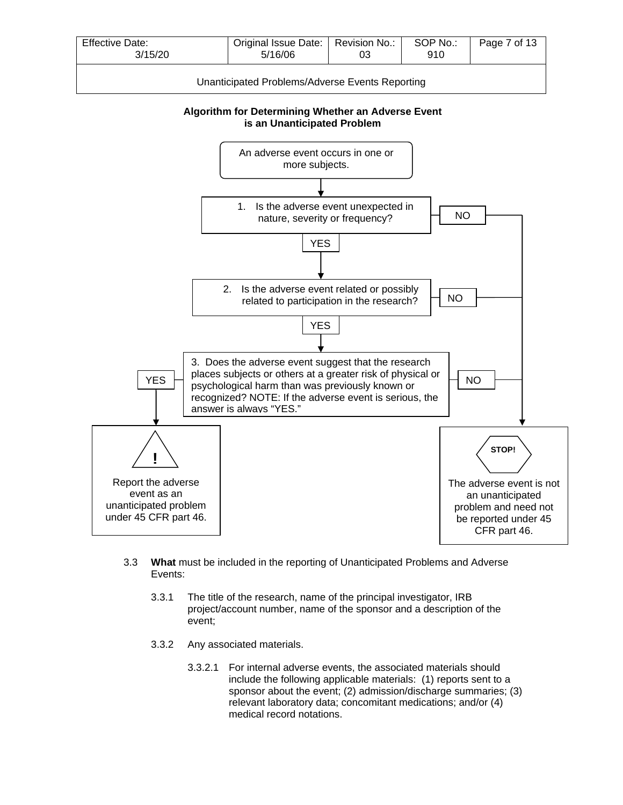

**Algorithm for Determining Whether an Adverse Event is an Unanticipated Problem**



- 3.3 **What** must be included in the reporting of Unanticipated Problems and Adverse Events:
	- 3.3.1 The title of the research, name of the principal investigator, IRB project/account number, name of the sponsor and a description of the event;
	- 3.3.2 Any associated materials.
		- 3.3.2.1 For internal adverse events, the associated materials should include the following applicable materials: (1) reports sent to a sponsor about the event; (2) admission/discharge summaries; (3) relevant laboratory data; concomitant medications; and/or (4) medical record notations.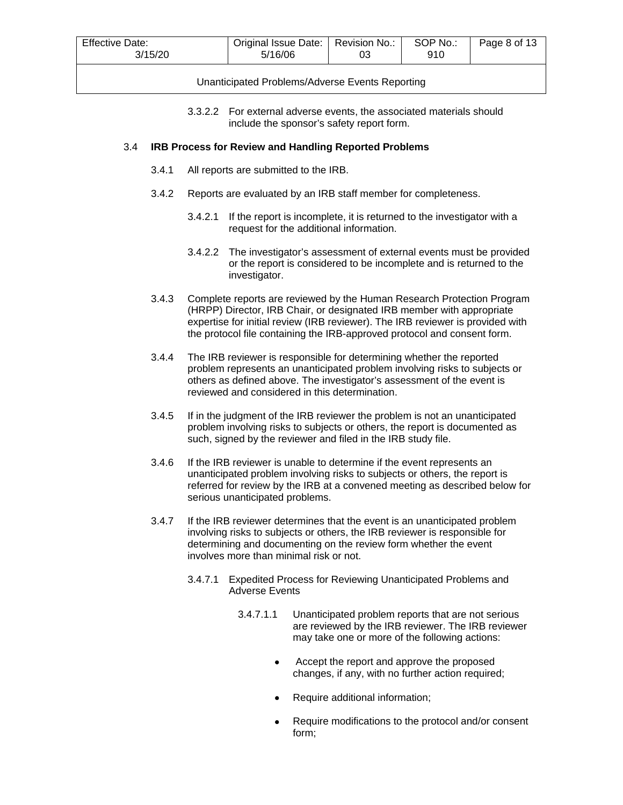| <b>Effective Date:</b> | Original Issue Date: | Revision No.: | SOP No.: | Page 8 of 13 |
|------------------------|----------------------|---------------|----------|--------------|
| 3/15/20                | 5/16/06              | 03            | 910      |              |
|                        |                      |               |          |              |

3.3.2.2 For external adverse events, the associated materials should include the sponsor's safety report form.

### 3.4 **IRB Process for Review and Handling Reported Problems**

- 3.4.1 All reports are submitted to the IRB.
- 3.4.2 Reports are evaluated by an IRB staff member for completeness.
	- 3.4.2.1 If the report is incomplete, it is returned to the investigator with a request for the additional information.
	- 3.4.2.2 The investigator's assessment of external events must be provided or the report is considered to be incomplete and is returned to the investigator.
- 3.4.3 Complete reports are reviewed by the Human Research Protection Program (HRPP) Director, IRB Chair, or designated IRB member with appropriate expertise for initial review (IRB reviewer). The IRB reviewer is provided with the protocol file containing the IRB-approved protocol and consent form.
- 3.4.4 The IRB reviewer is responsible for determining whether the reported problem represents an unanticipated problem involving risks to subjects or others as defined above. The investigator's assessment of the event is reviewed and considered in this determination.
- 3.4.5 If in the judgment of the IRB reviewer the problem is not an unanticipated problem involving risks to subjects or others, the report is documented as such, signed by the reviewer and filed in the IRB study file.
- 3.4.6 If the IRB reviewer is unable to determine if the event represents an unanticipated problem involving risks to subjects or others, the report is referred for review by the IRB at a convened meeting as described below for serious unanticipated problems.
- 3.4.7 If the IRB reviewer determines that the event is an unanticipated problem involving risks to subjects or others, the IRB reviewer is responsible for determining and documenting on the review form whether the event involves more than minimal risk or not.
	- 3.4.7.1 Expedited Process for Reviewing Unanticipated Problems and Adverse Events
		- 3.4.7.1.1 Unanticipated problem reports that are not serious are reviewed by the IRB reviewer. The IRB reviewer may take one or more of the following actions:
			- Accept the report and approve the proposed changes, if any, with no further action required;
			- Require additional information;
			- Require modifications to the protocol and/or consent form;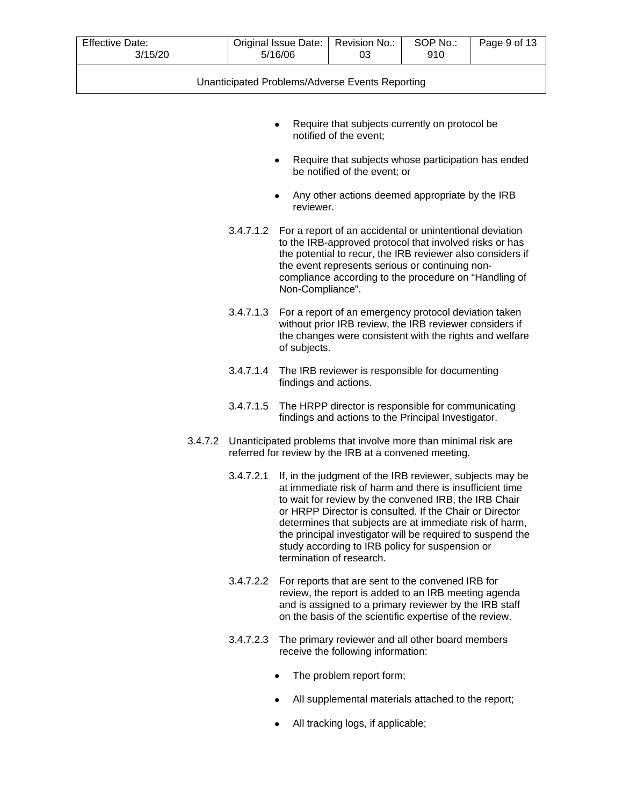| <b>Effective Date:</b><br>3/15/20 |           | Original Issue Date:<br>5/16/06 | Revision No.:<br>03                                                                                                                                                                                                                                                                                                                                                                                                                              | SOP No.:<br>910 | Page 9 of 13 |
|-----------------------------------|-----------|---------------------------------|--------------------------------------------------------------------------------------------------------------------------------------------------------------------------------------------------------------------------------------------------------------------------------------------------------------------------------------------------------------------------------------------------------------------------------------------------|-----------------|--------------|
|                                   |           |                                 | Unanticipated Problems/Adverse Events Reporting                                                                                                                                                                                                                                                                                                                                                                                                  |                 |              |
|                                   |           |                                 |                                                                                                                                                                                                                                                                                                                                                                                                                                                  |                 |              |
|                                   |           |                                 | Require that subjects currently on protocol be<br>notified of the event;                                                                                                                                                                                                                                                                                                                                                                         |                 |              |
|                                   |           | ٠                               | Require that subjects whose participation has ended<br>be notified of the event; or                                                                                                                                                                                                                                                                                                                                                              |                 |              |
|                                   |           | reviewer.                       | Any other actions deemed appropriate by the IRB                                                                                                                                                                                                                                                                                                                                                                                                  |                 |              |
|                                   |           | Non-Compliance".                | 3.4.7.1.2 For a report of an accidental or unintentional deviation<br>to the IRB-approved protocol that involved risks or has<br>the potential to recur, the IRB reviewer also considers if<br>the event represents serious or continuing non-<br>compliance according to the procedure on "Handling of                                                                                                                                          |                 |              |
|                                   | 3.4.7.1.3 | of subjects.                    | For a report of an emergency protocol deviation taken<br>without prior IRB review, the IRB reviewer considers if<br>the changes were consistent with the rights and welfare                                                                                                                                                                                                                                                                      |                 |              |
|                                   | 3.4.7.1.4 | findings and actions.           | The IRB reviewer is responsible for documenting                                                                                                                                                                                                                                                                                                                                                                                                  |                 |              |
|                                   | 3.4.7.1.5 |                                 | The HRPP director is responsible for communicating<br>findings and actions to the Principal Investigator.                                                                                                                                                                                                                                                                                                                                        |                 |              |
| 3.4.7.2                           |           |                                 | Unanticipated problems that involve more than minimal risk are<br>referred for review by the IRB at a convened meeting.                                                                                                                                                                                                                                                                                                                          |                 |              |
|                                   | 3.4.7.2.1 |                                 | If, in the judgment of the IRB reviewer, subjects may be<br>at immediate risk of harm and there is insufficient time<br>to wait for review by the convened IRB, the IRB Chair<br>or HRPP Director is consulted. If the Chair or Director<br>determines that subjects are at immediate risk of harm,<br>the principal investigator will be required to suspend the<br>study according to IRB policy for suspension or<br>termination of research. |                 |              |
|                                   |           |                                 | 3.4.7.2.2 For reports that are sent to the convened IRB for<br>review, the report is added to an IRB meeting agenda<br>and is assigned to a primary reviewer by the IRB staff<br>on the basis of the scientific expertise of the review.                                                                                                                                                                                                         |                 |              |
|                                   | 3.4.7.2.3 |                                 | The primary reviewer and all other board members<br>receive the following information:                                                                                                                                                                                                                                                                                                                                                           |                 |              |
|                                   |           |                                 | The problem report form;                                                                                                                                                                                                                                                                                                                                                                                                                         |                 |              |
|                                   |           |                                 | All supplemental materials attached to the report;                                                                                                                                                                                                                                                                                                                                                                                               |                 |              |

• All tracking logs, if applicable;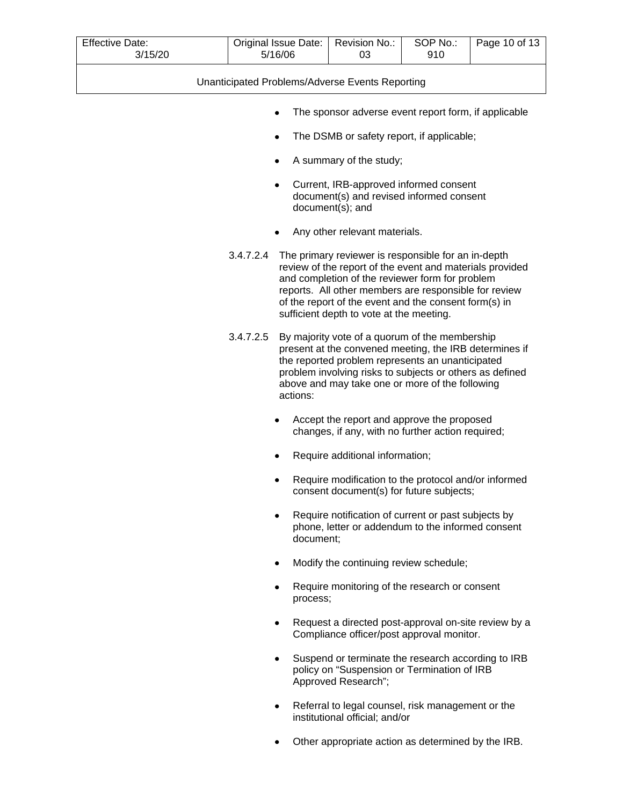| <b>Effective Date:</b><br>3/15/20 | Original Issue Date:<br>5/16/06                 | Revision No.:<br>03                                                                                                                                                                                                                                                                                                              | SOP No.:<br>910 | Page 10 of 13 |
|-----------------------------------|-------------------------------------------------|----------------------------------------------------------------------------------------------------------------------------------------------------------------------------------------------------------------------------------------------------------------------------------------------------------------------------------|-----------------|---------------|
|                                   | Unanticipated Problems/Adverse Events Reporting |                                                                                                                                                                                                                                                                                                                                  |                 |               |
|                                   | ٠                                               | The sponsor adverse event report form, if applicable                                                                                                                                                                                                                                                                             |                 |               |
|                                   | ٠                                               | The DSMB or safety report, if applicable;                                                                                                                                                                                                                                                                                        |                 |               |
|                                   | ٠                                               | A summary of the study;                                                                                                                                                                                                                                                                                                          |                 |               |
|                                   | ٠                                               | Current, IRB-approved informed consent<br>document(s) and revised informed consent<br>document(s); and                                                                                                                                                                                                                           |                 |               |
|                                   |                                                 | Any other relevant materials.                                                                                                                                                                                                                                                                                                    |                 |               |
|                                   | 3.4.7.2.4                                       | The primary reviewer is responsible for an in-depth<br>review of the report of the event and materials provided<br>and completion of the reviewer form for problem<br>reports. All other members are responsible for review<br>of the report of the event and the consent form(s) in<br>sufficient depth to vote at the meeting. |                 |               |
|                                   | 3.4.7.2.5<br>actions:                           | By majority vote of a quorum of the membership<br>present at the convened meeting, the IRB determines if<br>the reported problem represents an unanticipated<br>problem involving risks to subjects or others as defined<br>above and may take one or more of the following                                                      |                 |               |
|                                   |                                                 | Accept the report and approve the proposed<br>changes, if any, with no further action required;                                                                                                                                                                                                                                  |                 |               |
|                                   |                                                 | Require additional information;                                                                                                                                                                                                                                                                                                  |                 |               |
|                                   |                                                 | Require modification to the protocol and/or informed<br>consent document(s) for future subjects;                                                                                                                                                                                                                                 |                 |               |
|                                   | document;                                       | Require notification of current or past subjects by<br>phone, letter or addendum to the informed consent                                                                                                                                                                                                                         |                 |               |
|                                   | ٠                                               | Modify the continuing review schedule;                                                                                                                                                                                                                                                                                           |                 |               |
|                                   | ٠<br>process;                                   | Require monitoring of the research or consent                                                                                                                                                                                                                                                                                    |                 |               |
|                                   | ٠                                               | Request a directed post-approval on-site review by a<br>Compliance officer/post approval monitor.                                                                                                                                                                                                                                |                 |               |
|                                   |                                                 | Suspend or terminate the research according to IRB<br>policy on "Suspension or Termination of IRB<br>Approved Research";                                                                                                                                                                                                         |                 |               |
|                                   |                                                 | Referral to legal counsel, risk management or the<br>institutional official; and/or                                                                                                                                                                                                                                              |                 |               |

• Other appropriate action as determined by the IRB.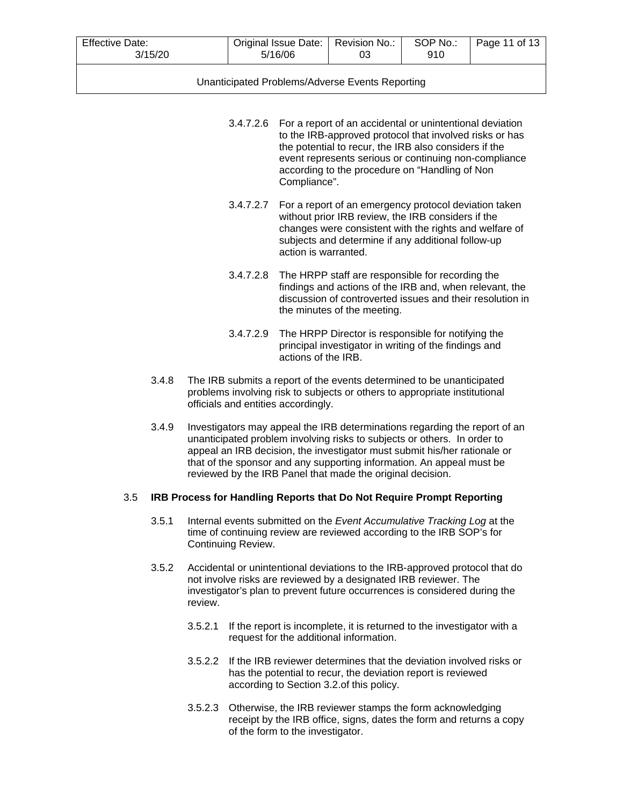| Effective Date:<br>3/15/20 | Original Issue Date:   Revision No.:<br>5/16/06 | 03 | SOP No.:<br>910 | Page 11 of 13 |
|----------------------------|-------------------------------------------------|----|-----------------|---------------|
|                            |                                                 |    |                 |               |

| 3.4.7.2.6 For a report of an accidental or unintentional deviation<br>to the IRB-approved protocol that involved risks or has<br>the potential to recur, the IRB also considers if the |
|----------------------------------------------------------------------------------------------------------------------------------------------------------------------------------------|
| event represents serious or continuing non-compliance<br>according to the procedure on "Handling of Non<br>Compliance".                                                                |

- 3.4.7.2.7 For a report of an emergency protocol deviation taken without prior IRB review, the IRB considers if the changes were consistent with the rights and welfare of subjects and determine if any additional follow-up action is warranted.
- 3.4.7.2.8 The HRPP staff are responsible for recording the findings and actions of the IRB and, when relevant, the discussion of controverted issues and their resolution in the minutes of the meeting.
- 3.4.7.2.9 The HRPP Director is responsible for notifying the principal investigator in writing of the findings and actions of the IRB.
- 3.4.8 The IRB submits a report of the events determined to be unanticipated problems involving risk to subjects or others to appropriate institutional officials and entities accordingly.
- 3.4.9 Investigators may appeal the IRB determinations regarding the report of an unanticipated problem involving risks to subjects or others. In order to appeal an IRB decision, the investigator must submit his/her rationale or that of the sponsor and any supporting information. An appeal must be reviewed by the IRB Panel that made the original decision.

# 3.5 **IRB Process for Handling Reports that Do Not Require Prompt Reporting**

- 3.5.1 Internal events submitted on the *Event Accumulative Tracking Log* at the time of continuing review are reviewed according to the IRB SOP's for Continuing Review.
- 3.5.2 Accidental or unintentional deviations to the IRB-approved protocol that do not involve risks are reviewed by a designated IRB reviewer. The investigator's plan to prevent future occurrences is considered during the review.
	- 3.5.2.1 If the report is incomplete, it is returned to the investigator with a request for the additional information.
	- 3.5.2.2 If the IRB reviewer determines that the deviation involved risks or has the potential to recur, the deviation report is reviewed according to Section 3.2.of this policy.
	- 3.5.2.3 Otherwise, the IRB reviewer stamps the form acknowledging receipt by the IRB office, signs, dates the form and returns a copy of the form to the investigator.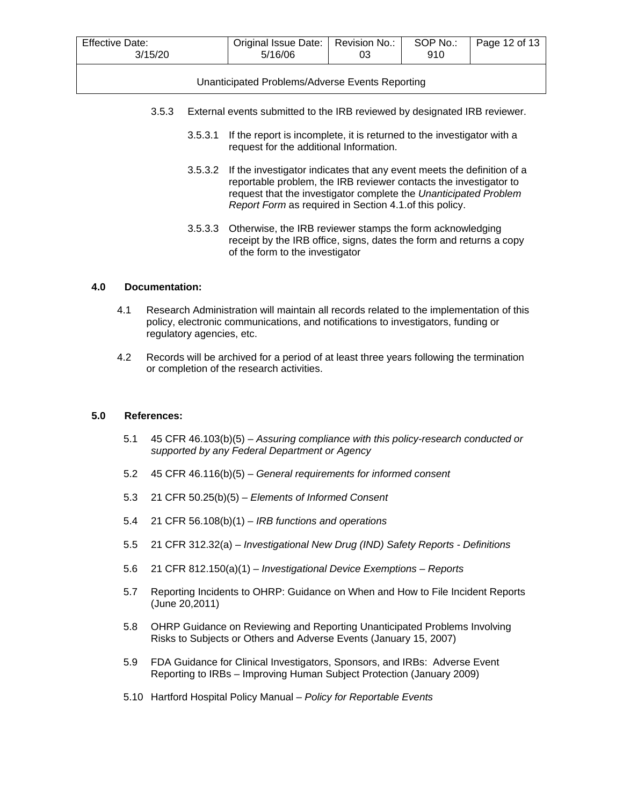| Effective Date:<br>3/15/20                      | Original Issue Date:   Revision No.:<br>5/16/06 | 03 | SOP No.:<br>910 | Page 12 of 13 |  |  |  |
|-------------------------------------------------|-------------------------------------------------|----|-----------------|---------------|--|--|--|
| Unanticipated Problems/Adverse Events Reporting |                                                 |    |                 |               |  |  |  |

- 3.5.3 External events submitted to the IRB reviewed by designated IRB reviewer.
	- 3.5.3.1 If the report is incomplete, it is returned to the investigator with a request for the additional Information.
	- 3.5.3.2 If the investigator indicates that any event meets the definition of a reportable problem, the IRB reviewer contacts the investigator to request that the investigator complete the *Unanticipated Problem Report Form* as required in Section 4.1.of this policy.
	- 3.5.3.3 Otherwise, the IRB reviewer stamps the form acknowledging receipt by the IRB office, signs, dates the form and returns a copy of the form to the investigator

### **4.0 Documentation:**

- 4.1 Research Administration will maintain all records related to the implementation of this policy, electronic communications, and notifications to investigators, funding or regulatory agencies, etc.
- 4.2 Records will be archived for a period of at least three years following the termination or completion of the research activities.

### **5.0 References:**

- 5.1 45 CFR 46.103(b)(5) *Assuring compliance with this policy-research conducted or supported by any Federal Department or Agency*
- 5.2 45 CFR 46.116(b)(5) *General requirements for informed consent*
- 5.3 21 CFR 50.25(b)(5) *Elements of Informed Consent*
- 5.4 21 CFR 56.108(b)(1) *IRB functions and operations*
- 5.5 21 CFR 312.32(a) *Investigational New Drug (IND) Safety Reports - Definitions*
- 5.6 21 CFR 812.150(a)(1) *Investigational Device Exemptions – Reports*
- 5.7 Reporting Incidents to OHRP: Guidance on When and How to File Incident Reports (June 20,2011)
- 5.8 OHRP Guidance on Reviewing and Reporting Unanticipated Problems Involving Risks to Subjects or Others and Adverse Events (January 15, 2007)
- 5.9 FDA Guidance for Clinical Investigators, Sponsors, and IRBs: Adverse Event Reporting to IRBs – Improving Human Subject Protection (January 2009)
- 5.10 Hartford Hospital Policy Manual *Policy for Reportable Events*